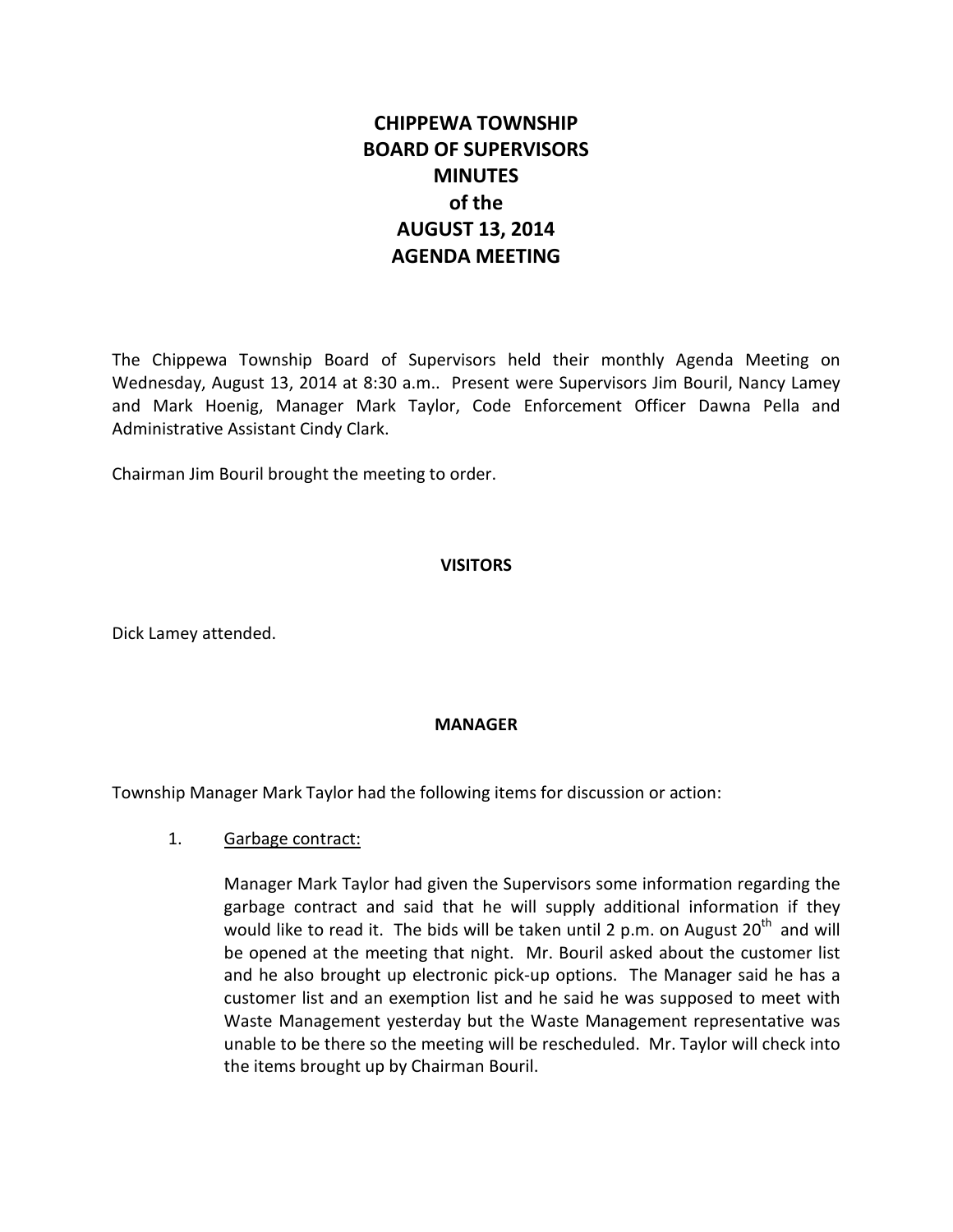# **CHIPPEWA TOWNSHIP BOARD OF SUPERVISORS MINUTES of the AUGUST 13, 2014 AGENDA MEETING**

The Chippewa Township Board of Supervisors held their monthly Agenda Meeting on Wednesday, August 13, 2014 at 8:30 a.m.. Present were Supervisors Jim Bouril, Nancy Lamey and Mark Hoenig, Manager Mark Taylor, Code Enforcement Officer Dawna Pella and Administrative Assistant Cindy Clark.

Chairman Jim Bouril brought the meeting to order.

## **VISITORS**

Dick Lamey attended.

## **MANAGER**

Township Manager Mark Taylor had the following items for discussion or action:

## 1. Garbage contract:

Manager Mark Taylor had given the Supervisors some information regarding the garbage contract and said that he will supply additional information if they would like to read it. The bids will be taken until 2 p.m. on August  $20<sup>th</sup>$  and will be opened at the meeting that night. Mr. Bouril asked about the customer list and he also brought up electronic pick-up options. The Manager said he has a customer list and an exemption list and he said he was supposed to meet with Waste Management yesterday but the Waste Management representative was unable to be there so the meeting will be rescheduled. Mr. Taylor will check into the items brought up by Chairman Bouril.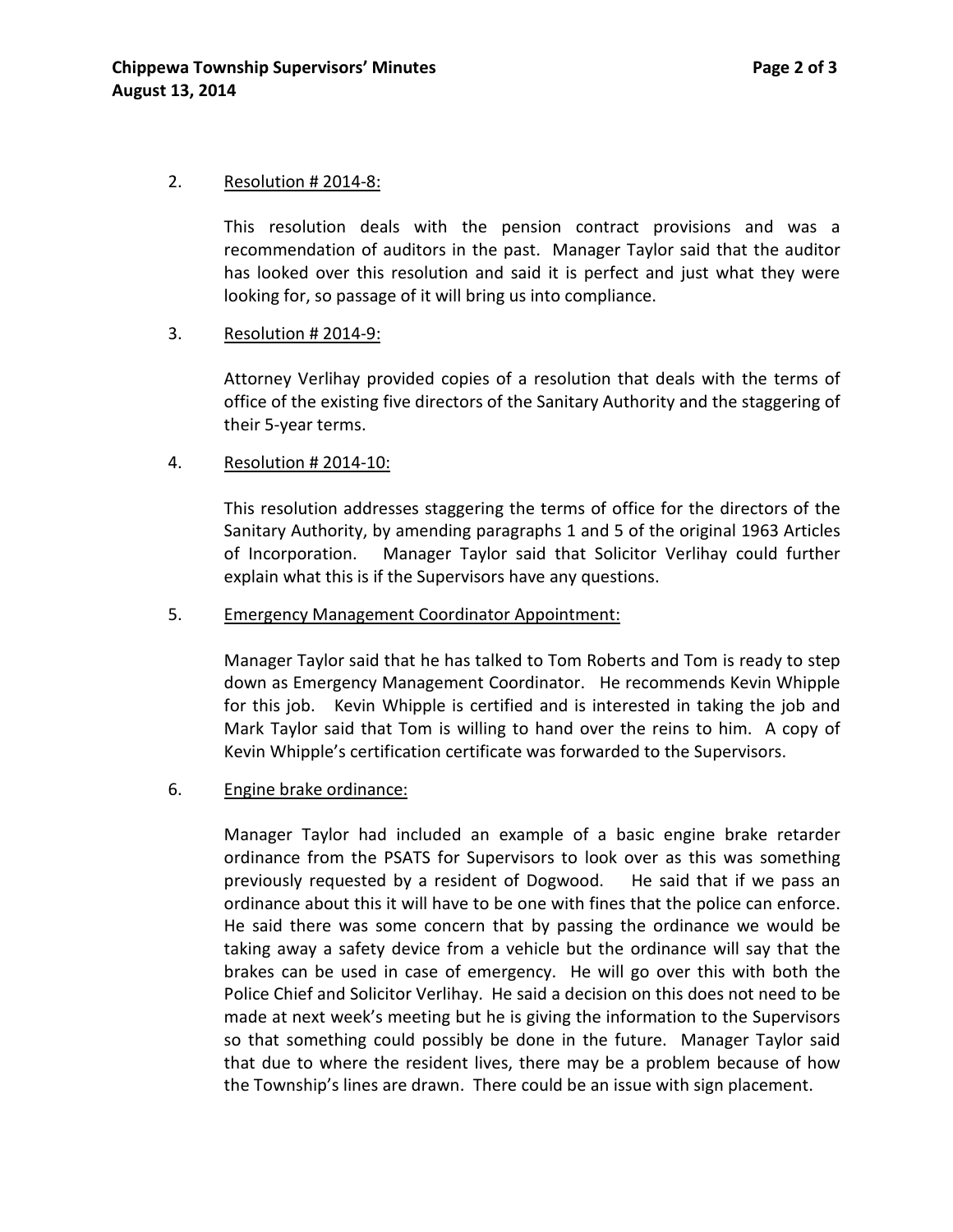#### 2. Resolution # 2014-8:

This resolution deals with the pension contract provisions and was a recommendation of auditors in the past. Manager Taylor said that the auditor has looked over this resolution and said it is perfect and just what they were looking for, so passage of it will bring us into compliance.

### 3. Resolution # 2014-9:

Attorney Verlihay provided copies of a resolution that deals with the terms of office of the existing five directors of the Sanitary Authority and the staggering of their 5-year terms.

### 4. Resolution # 2014-10:

This resolution addresses staggering the terms of office for the directors of the Sanitary Authority, by amending paragraphs 1 and 5 of the original 1963 Articles of Incorporation. Manager Taylor said that Solicitor Verlihay could further explain what this is if the Supervisors have any questions.

#### 5. Emergency Management Coordinator Appointment:

Manager Taylor said that he has talked to Tom Roberts and Tom is ready to step down as Emergency Management Coordinator. He recommends Kevin Whipple for this job. Kevin Whipple is certified and is interested in taking the job and Mark Taylor said that Tom is willing to hand over the reins to him. A copy of Kevin Whipple's certification certificate was forwarded to the Supervisors.

#### 6. Engine brake ordinance:

Manager Taylor had included an example of a basic engine brake retarder ordinance from the PSATS for Supervisors to look over as this was something previously requested by a resident of Dogwood. He said that if we pass an ordinance about this it will have to be one with fines that the police can enforce. He said there was some concern that by passing the ordinance we would be taking away a safety device from a vehicle but the ordinance will say that the brakes can be used in case of emergency. He will go over this with both the Police Chief and Solicitor Verlihay. He said a decision on this does not need to be made at next week's meeting but he is giving the information to the Supervisors so that something could possibly be done in the future. Manager Taylor said that due to where the resident lives, there may be a problem because of how the Township's lines are drawn. There could be an issue with sign placement.